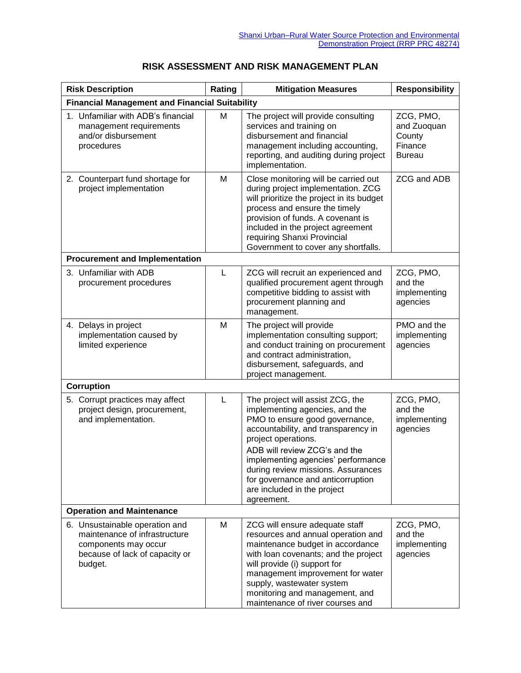| <b>Risk Description</b>                                                                                                              | Rating | <b>Mitigation Measures</b>                                                                                                                                                                                                                                                                                                                                        | <b>Responsibility</b>                                          |  |  |
|--------------------------------------------------------------------------------------------------------------------------------------|--------|-------------------------------------------------------------------------------------------------------------------------------------------------------------------------------------------------------------------------------------------------------------------------------------------------------------------------------------------------------------------|----------------------------------------------------------------|--|--|
| <b>Financial Management and Financial Suitability</b>                                                                                |        |                                                                                                                                                                                                                                                                                                                                                                   |                                                                |  |  |
| 1. Unfamiliar with ADB's financial<br>management requirements<br>and/or disbursement<br>procedures                                   | M      | The project will provide consulting<br>services and training on<br>disbursement and financial<br>management including accounting,<br>reporting, and auditing during project<br>implementation.                                                                                                                                                                    | ZCG, PMO,<br>and Zuoquan<br>County<br>Finance<br><b>Bureau</b> |  |  |
| 2. Counterpart fund shortage for<br>project implementation                                                                           | M      | Close monitoring will be carried out<br>during project implementation. ZCG<br>will prioritize the project in its budget<br>process and ensure the timely<br>provision of funds. A covenant is<br>included in the project agreement<br>requiring Shanxi Provincial<br>Government to cover any shortfalls.                                                          | ZCG and ADB                                                    |  |  |
| <b>Procurement and Implementation</b>                                                                                                |        |                                                                                                                                                                                                                                                                                                                                                                   |                                                                |  |  |
| 3. Unfamiliar with ADB<br>procurement procedures                                                                                     | L      | ZCG will recruit an experienced and<br>qualified procurement agent through<br>competitive bidding to assist with<br>procurement planning and<br>management.                                                                                                                                                                                                       | ZCG, PMO,<br>and the<br>implementing<br>agencies               |  |  |
| 4. Delays in project<br>implementation caused by<br>limited experience                                                               | M      | The project will provide<br>implementation consulting support;<br>and conduct training on procurement<br>and contract administration,<br>disbursement, safeguards, and<br>project management.                                                                                                                                                                     | PMO and the<br>implementing<br>agencies                        |  |  |
| Corruption                                                                                                                           |        |                                                                                                                                                                                                                                                                                                                                                                   |                                                                |  |  |
| 5. Corrupt practices may affect<br>project design, procurement,<br>and implementation.                                               | L      | The project will assist ZCG, the<br>implementing agencies, and the<br>PMO to ensure good governance,<br>accountability, and transparency in<br>project operations.<br>ADB will review ZCG's and the<br>implementing agencies' performance<br>during review missions. Assurances<br>for governance and anticorruption<br>are included in the project<br>agreement. | ZCG, PMO,<br>and the<br>implementing<br>agencies               |  |  |
| <b>Operation and Maintenance</b>                                                                                                     |        |                                                                                                                                                                                                                                                                                                                                                                   |                                                                |  |  |
| 6. Unsustainable operation and<br>maintenance of infrastructure<br>components may occur<br>because of lack of capacity or<br>budget. | M      | ZCG will ensure adequate staff<br>resources and annual operation and<br>maintenance budget in accordance<br>with loan covenants; and the project<br>will provide (i) support for<br>management improvement for water<br>supply, wastewater system<br>monitoring and management, and<br>maintenance of river courses and                                           | ZCG, PMO,<br>and the<br>implementing<br>agencies               |  |  |

## **RISK ASSESSMENT AND RISK MANAGEMENT PLAN**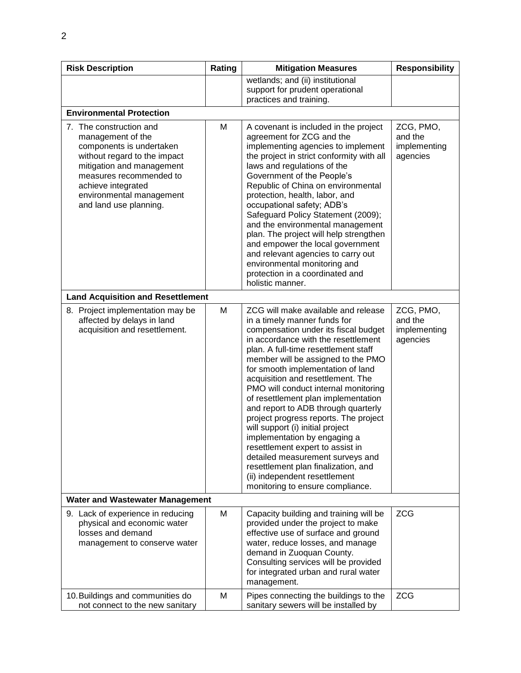| <b>Risk Description</b>                                                                                                                                                                                                                      | Rating | <b>Mitigation Measures</b>                                                                                                                                                                                                                                                                                                                                                                                                                                                                                                                                                                                                                                                                                                        | <b>Responsibility</b>                            |  |  |  |
|----------------------------------------------------------------------------------------------------------------------------------------------------------------------------------------------------------------------------------------------|--------|-----------------------------------------------------------------------------------------------------------------------------------------------------------------------------------------------------------------------------------------------------------------------------------------------------------------------------------------------------------------------------------------------------------------------------------------------------------------------------------------------------------------------------------------------------------------------------------------------------------------------------------------------------------------------------------------------------------------------------------|--------------------------------------------------|--|--|--|
|                                                                                                                                                                                                                                              |        | wetlands; and (ii) institutional<br>support for prudent operational<br>practices and training.                                                                                                                                                                                                                                                                                                                                                                                                                                                                                                                                                                                                                                    |                                                  |  |  |  |
| <b>Environmental Protection</b>                                                                                                                                                                                                              |        |                                                                                                                                                                                                                                                                                                                                                                                                                                                                                                                                                                                                                                                                                                                                   |                                                  |  |  |  |
| 7. The construction and<br>management of the<br>components is undertaken<br>without regard to the impact<br>mitigation and management<br>measures recommended to<br>achieve integrated<br>environmental management<br>and land use planning. | M      | A covenant is included in the project<br>agreement for ZCG and the<br>implementing agencies to implement<br>the project in strict conformity with all<br>laws and regulations of the<br>Government of the People's<br>Republic of China on environmental<br>protection, health, labor, and<br>occupational safety; ADB's<br>Safeguard Policy Statement (2009);<br>and the environmental management<br>plan. The project will help strengthen<br>and empower the local government<br>and relevant agencies to carry out<br>environmental monitoring and<br>protection in a coordinated and<br>holistic manner.                                                                                                                     | ZCG, PMO,<br>and the<br>implementing<br>agencies |  |  |  |
| <b>Land Acquisition and Resettlement</b>                                                                                                                                                                                                     |        |                                                                                                                                                                                                                                                                                                                                                                                                                                                                                                                                                                                                                                                                                                                                   |                                                  |  |  |  |
| 8. Project implementation may be<br>affected by delays in land<br>acquisition and resettlement.                                                                                                                                              | M      | ZCG will make available and release<br>in a timely manner funds for<br>compensation under its fiscal budget<br>in accordance with the resettlement<br>plan. A full-time resettlement staff<br>member will be assigned to the PMO<br>for smooth implementation of land<br>acquisition and resettlement. The<br>PMO will conduct internal monitoring<br>of resettlement plan implementation<br>and report to ADB through quarterly<br>project progress reports. The project<br>will support (i) initial project<br>implementation by engaging a<br>resettlement expert to assist in<br>detailed measurement surveys and<br>resettlement plan finalization, and<br>(ii) independent resettlement<br>monitoring to ensure compliance. | ZCG, PMO,<br>and the<br>implementing<br>agencies |  |  |  |
| <b>Water and Wastewater Management</b>                                                                                                                                                                                                       |        |                                                                                                                                                                                                                                                                                                                                                                                                                                                                                                                                                                                                                                                                                                                                   |                                                  |  |  |  |
| 9. Lack of experience in reducing<br>physical and economic water<br>losses and demand<br>management to conserve water                                                                                                                        | М      | Capacity building and training will be<br>provided under the project to make<br>effective use of surface and ground<br>water, reduce losses, and manage<br>demand in Zuoquan County.<br>Consulting services will be provided<br>for integrated urban and rural water<br>management.                                                                                                                                                                                                                                                                                                                                                                                                                                               | <b>ZCG</b>                                       |  |  |  |
| 10. Buildings and communities do<br>not connect to the new sanitary                                                                                                                                                                          | M      | Pipes connecting the buildings to the<br>sanitary sewers will be installed by                                                                                                                                                                                                                                                                                                                                                                                                                                                                                                                                                                                                                                                     | <b>ZCG</b>                                       |  |  |  |